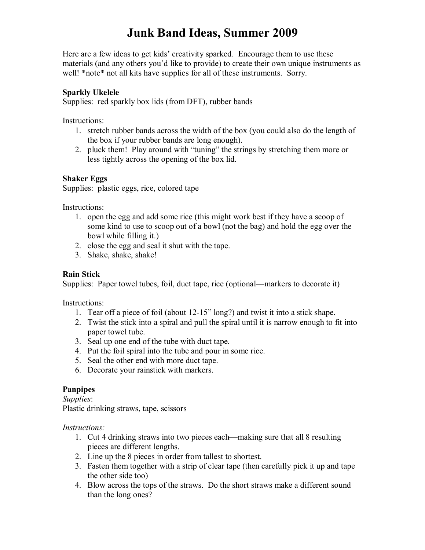# **Junk Band Ideas, Summer 2009**

Here are a few ideas to get kids' creativity sparked. Encourage them to use these materials (and any others you'd like to provide) to create their own unique instruments as well! \*note\* not all kits have supplies for all of these instruments. Sorry.

#### **Sparkly Ukelele**

Supplies: red sparkly box lids (from DFT), rubber bands

Instructions:

- 1. stretch rubber bands across the width of the box (you could also do the length of the box if your rubber bands are long enough).
- 2. pluck them! Play around with "tuning" the strings by stretching them more or less tightly across the opening of the box lid.

#### **Shaker Eggs**

Supplies: plastic eggs, rice, colored tape

Instructions:

- 1. open the egg and add some rice (this might work best if they have a scoop of some kind to use to scoop out of a bowl (not the bag) and hold the egg over the bowl while filling it.)
- 2. close the egg and seal it shut with the tape.
- 3. Shake, shake, shake!

#### **Rain Stick**

Supplies: Paper towel tubes, foil, duct tape, rice (optional—markers to decorate it)

Instructions:

- 1. Tear off a piece of foil (about 1215" long?) and twist it into a stick shape.
- 2. Twist the stick into a spiral and pull the spiral until it is narrow enough to fit into paper towel tube.
- 3. Seal up one end of the tube with duct tape.
- 4. Put the foil spiral into the tube and pour in some rice.
- 5. Seal the other end with more duct tape.
- 6. Decorate your rainstick with markers.

### **Panpipes**

*Supplies*: Plastic drinking straws, tape, scissors

*Instructions:*

- 1. Cut 4 drinking straws into two pieces each—making sure that all 8 resulting pieces are different lengths.
- 2. Line up the 8 pieces in order from tallest to shortest.
- 3. Fasten them together with a strip of clear tape (then carefully pick it up and tape the other side too)
- 4. Blow across the tops of the straws. Do the short straws make a different sound than the long ones?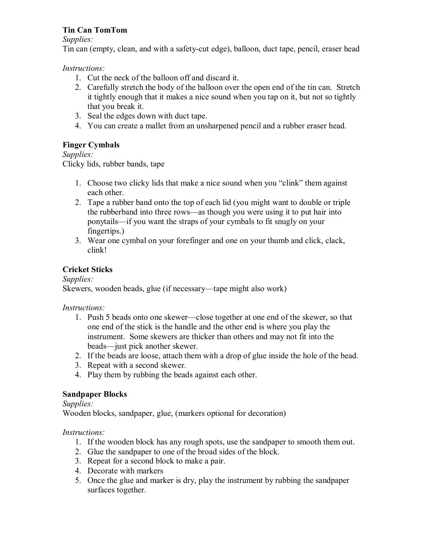## **Tin Can TomTom**

*Supplies:*

Tin can (empty, clean, and with a safety-cut edge), balloon, duct tape, pencil, eraser head

## *Instructions:*

- 1. Cut the neck of the balloon off and discard it.
- 2. Carefully stretch the body of the balloon over the open end of the tin can. Stretch it tightly enough that it makes a nice sound when you tap on it, but not so tightly that you break it.
- 3. Seal the edges down with duct tape.
- 4. You can create a mallet from an unsharpened pencil and a rubber eraser head.

# **Finger Cymbals**

## *Supplies:*

Clicky lids, rubber bands, tape

- 1. Choose two clicky lids that make a nice sound when you "clink" them against each other.
- 2. Tape a rubber band onto the top of each lid (you might want to double or triple the rubberband into three rows—as though you were using it to put hair into ponytails—if you want the straps of your cymbals to fit snugly on your fingertips.)
- 3. Wear one cymbal on your forefinger and one on your thumb and click, clack, clink!

# **Cricket Sticks**

*Supplies:*

Skewers, wooden beads, glue (if necessary—tape might also work)

## *Instructions:*

- 1. Push 5 beads onto one skewer—close together at one end of the skewer, so that one end of the stick is the handle and the other end is where you play the instrument. Some skewers are thicker than others and may not fit into the beads—just pick another skewer.
- 2. If the beads are loose, attach them with a drop of glue inside the hole of the bead.
- 3. Repeat with a second skewer.
- 4. Play them by rubbing the beads against each other.

## **Sandpaper Blocks**

*Supplies:*

Wooden blocks, sandpaper, glue, (markers optional for decoration)

## *Instructions:*

- 1. If the wooden block has any rough spots, use the sandpaper to smooth them out.
- 2. Glue the sandpaper to one of the broad sides of the block.
- 3. Repeat for a second block to make a pair.
- 4. Decorate with markers
- 5. Once the glue and marker is dry, play the instrument by rubbing the sandpaper surfaces together.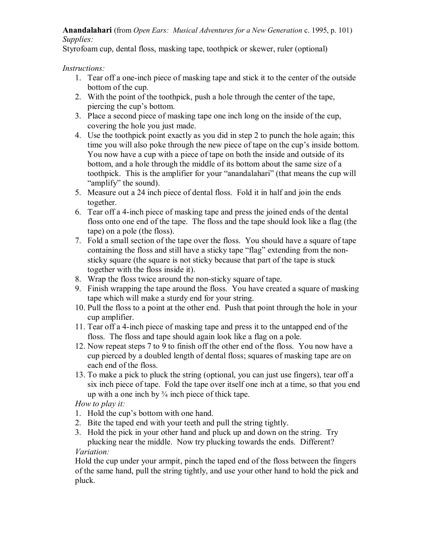#### **Anandalahari** (from *Open Ears: Musical Adventures for a New Generation* c. 1995, p. 101) *Supplies:*

Styrofoam cup, dental floss, masking tape, toothpick or skewer, ruler (optional)

### *Instructions:*

- 1. Tear off a one-inch piece of masking tape and stick it to the center of the outside bottom of the cup.
- 2. With the point of the toothpick, push a hole through the center of the tape, piercing the cup's bottom.
- 3. Place a second piece of masking tape one inch long on the inside of the cup, covering the hole you just made.
- 4. Use the toothpick point exactly as you did in step 2 to punch the hole again; this time you will also poke through the new piece of tape on the cup's inside bottom. You now have a cup with a piece of tape on both the inside and outside of its bottom, and a hole through the middle of its bottom about the same size of a toothpick. This is the amplifier for your "anandalahari" (that means the cup will "amplify" the sound).
- 5. Measure out a 24 inch piece of dental floss. Fold it in half and join the ends together.
- 6. Tear off a 4inch piece of masking tape and press the joined ends of the dental floss onto one end of the tape. The floss and the tape should look like a flag (the tape) on a pole (the floss).
- 7. Fold a small section of the tape over the floss. You should have a square of tape containing the floss and still have a sticky tape "flag" extending from the non sticky square (the square is not sticky because that part of the tape is stuck together with the floss inside it).
- 8. Wrap the floss twice around the non-sticky square of tape.
- 9. Finish wrapping the tape around the floss. You have created a square of masking tape which will make a sturdy end for your string.
- 10. Pull the floss to a point at the other end. Push that point through the hole in your cup amplifier.
- 11. Tear off a 4inch piece of masking tape and press it to the untapped end of the floss. The floss and tape should again look like a flag on a pole.
- 12. Now repeat steps 7 to 9 to finish off the other end of the floss. You now have a cup pierced by a doubled length of dental floss; squares of masking tape are on each end of the floss.
- 13. To make a pick to pluck the string (optional, you can just use fingers), tear off a six inch piece of tape. Fold the tape over itself one inch at a time, so that you end up with a one inch by  $\frac{3}{4}$  inch piece of thick tape.

*How to play it:*

- 1. Hold the cup's bottom with one hand.
- 2. Bite the taped end with your teeth and pull the string tightly.
- 3. Hold the pick in your other hand and pluck up and down on the string. Try plucking near the middle. Now try plucking towards the ends. Different? *Variation:*

Hold the cup under your armpit, pinch the taped end of the floss between the fingers of the same hand, pull the string tightly, and use your other hand to hold the pick and pluck.